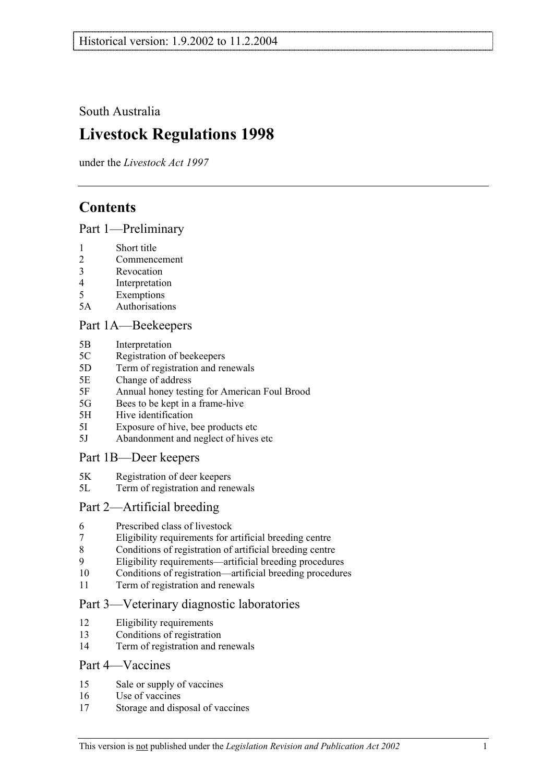South Australia

# **Livestock Regulations 1998**

under the *Livestock Act 1997*

## **Contents**

Part 1—Preliminary

- 1 Short title
- 2 Commencement
- 3 Revocation
- 4 Interpretation
- 5 Exemptions
- 5A Authorisations

### Part 1A—Beekeepers

- 5B Interpretation
- 5C Registration of beekeepers
- 5D Term of registration and renewals
- 5E Change of address
- 5F Annual honey testing for American Foul Brood
- 5G Bees to be kept in a frame-hive
- 5H Hive identification
- 5I Exposure of hive, bee products etc
- 5J Abandonment and neglect of hives etc

### Part 1B—Deer keepers

- 5K Registration of deer keepers
- 5L Term of registration and renewals

### Part 2—Artificial breeding

- 6 Prescribed class of livestock
- 7 Eligibility requirements for artificial breeding centre
- 8 Conditions of registration of artificial breeding centre
- 9 Eligibility requirements—artificial breeding procedures
- 10 Conditions of registration—artificial breeding procedures
- 11 Term of registration and renewals

### Part 3—Veterinary diagnostic laboratories

- 12 Eligibility requirements
- 13 Conditions of registration
- 14 Term of registration and renewals

### Part 4—Vaccines

- 15 Sale or supply of vaccines
- 16 Use of vaccines
- 17 Storage and disposal of vaccines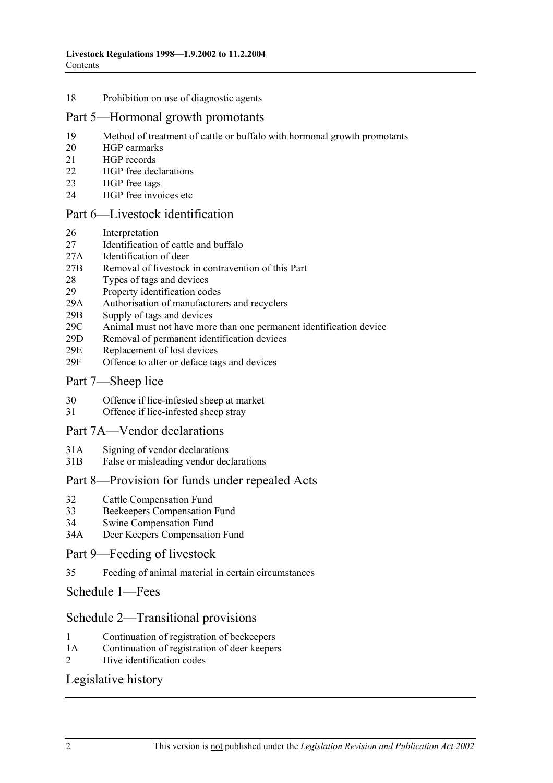#### 18 Prohibition on use of diagnostic agents

### Part 5—Hormonal growth promotants

- 19 Method of treatment of cattle or buffalo with hormonal growth promotants
- 20 HGP earmarks
- 21 HGP records
- 22 HGP free declarations
- 23 HGP free tags
- 24 HGP free invoices etc

### Part 6—Livestock identification

- 26 Interpretation
- 27 Identification of cattle and buffalo
- 27A Identification of deer
- 27B Removal of livestock in contravention of this Part
- 28 Types of tags and devices<br>29 Property identification cod
- Property identification codes
- 29A Authorisation of manufacturers and recyclers
- 29B Supply of tags and devices
- 29C Animal must not have more than one permanent identification device
- 29D Removal of permanent identification devices
- 29E Replacement of lost devices
- 29F Offence to alter or deface tags and devices

### Part 7—Sheep lice

- 30 Offence if lice-infested sheep at market
- 31 Offence if lice-infested sheep stray

### Part 7A—Vendor declarations

- 31A Signing of vendor declarations
- 31B False or misleading vendor declarations

### Part 8—Provision for funds under repealed Acts

- 32 Cattle Compensation Fund
- 33 Beekeepers Compensation Fund
- 34 Swine Compensation Fund
- 34A Deer Keepers Compensation Fund

### Part 9—Feeding of livestock

35 Feeding of animal material in certain circumstances

Schedule 1—Fees

### Schedule 2—Transitional provisions

- 1 Continuation of registration of beekeepers
- 1A Continuation of registration of deer keepers
- 2 Hive identification codes

### Legislative history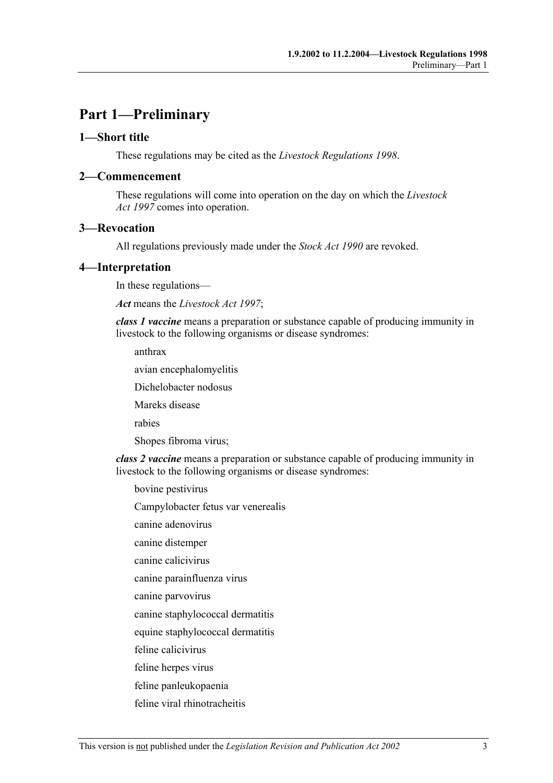## **Part 1—Preliminary**

### **1—Short title**

These regulations may be cited as the *Livestock Regulations 1998*.

### **2—Commencement**

These regulations will come into operation on the day on which the *Livestock Act 1997* comes into operation.

### **3—Revocation**

All regulations previously made under the *Stock Act 1990* are revoked.

### **4—Interpretation**

In these regulations—

*Act* means the *Livestock Act 1997*;

*class 1 vaccine* means a preparation or substance capable of producing immunity in livestock to the following organisms or disease syndromes:

anthrax

avian encephalomyelitis

Dichelobacter nodosus

Mareks disease

rabies

Shopes fibroma virus;

*class 2 vaccine* means a preparation or substance capable of producing immunity in livestock to the following organisms or disease syndromes:

bovine pestivirus

Campylobacter fetus var venerealis

canine adenovirus

canine distemper

canine calicivirus

canine parainfluenza virus

canine parvovirus

canine staphylococcal dermatitis

equine staphylococcal dermatitis

feline calicivirus

feline herpes virus

feline panleukopaenia

feline viral rhinotracheitis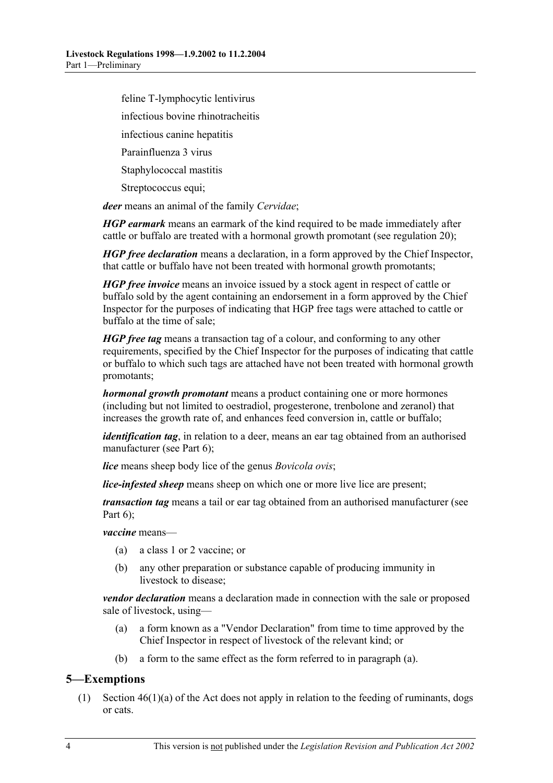feline T-lymphocytic lentivirus infectious bovine rhinotracheitis infectious canine hepatitis

Parainfluenza 3 virus

Staphylococcal mastitis

Streptococcus equi;

*deer* means an animal of the family *Cervidae*;

*HGP earmark* means an earmark of the kind required to be made immediately after cattle or buffalo are treated with a hormonal growth promotant (see regulation 20);

*HGP free declaration* means a declaration, in a form approved by the Chief Inspector, that cattle or buffalo have not been treated with hormonal growth promotants;

*HGP free invoice* means an invoice issued by a stock agent in respect of cattle or buffalo sold by the agent containing an endorsement in a form approved by the Chief Inspector for the purposes of indicating that HGP free tags were attached to cattle or buffalo at the time of sale;

*HGP free tag* means a transaction tag of a colour, and conforming to any other requirements, specified by the Chief Inspector for the purposes of indicating that cattle or buffalo to which such tags are attached have not been treated with hormonal growth promotants;

*hormonal growth promotant* means a product containing one or more hormones (including but not limited to oestradiol, progesterone, trenbolone and zeranol) that increases the growth rate of, and enhances feed conversion in, cattle or buffalo;

*identification tag*, in relation to a deer, means an ear tag obtained from an authorised manufacturer (see Part 6);

*lice* means sheep body lice of the genus *Bovicola ovis*;

*lice-infested sheep* means sheep on which one or more live lice are present;

*transaction tag* means a tail or ear tag obtained from an authorised manufacturer (see Part 6):

*vaccine* means—

- (a) a class 1 or 2 vaccine; or
- (b) any other preparation or substance capable of producing immunity in livestock to disease:

*vendor declaration* means a declaration made in connection with the sale or proposed sale of livestock, using—

- (a) a form known as a "Vendor Declaration" from time to time approved by the Chief Inspector in respect of livestock of the relevant kind; or
- (b) a form to the same effect as the form referred to in paragraph (a).

### **5—Exemptions**

 (1) Section 46(1)(a) of the Act does not apply in relation to the feeding of ruminants, dogs or cats.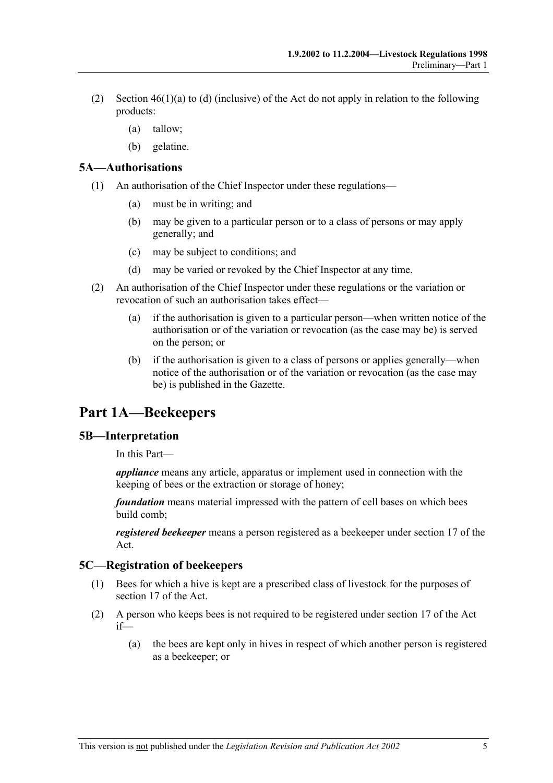- (2) Section 46(1)(a) to (d) (inclusive) of the Act do not apply in relation to the following products:
	- (a) tallow;
	- (b) gelatine.

### **5A—Authorisations**

- (1) An authorisation of the Chief Inspector under these regulations—
	- (a) must be in writing; and
	- (b) may be given to a particular person or to a class of persons or may apply generally; and
	- (c) may be subject to conditions; and
	- (d) may be varied or revoked by the Chief Inspector at any time.
- (2) An authorisation of the Chief Inspector under these regulations or the variation or revocation of such an authorisation takes effect—
	- (a) if the authorisation is given to a particular person—when written notice of the authorisation or of the variation or revocation (as the case may be) is served on the person; or
	- (b) if the authorisation is given to a class of persons or applies generally—when notice of the authorisation or of the variation or revocation (as the case may be) is published in the Gazette.

## **Part 1A—Beekeepers**

### **5B—Interpretation**

In this Part—

*appliance* means any article, apparatus or implement used in connection with the keeping of bees or the extraction or storage of honey;

*foundation* means material impressed with the pattern of cell bases on which bees build comb;

*registered beekeeper* means a person registered as a beekeeper under section 17 of the Act.

### **5C—Registration of beekeepers**

- (1) Bees for which a hive is kept are a prescribed class of livestock for the purposes of section 17 of the Act.
- (2) A person who keeps bees is not required to be registered under section 17 of the Act if—
	- (a) the bees are kept only in hives in respect of which another person is registered as a beekeeper; or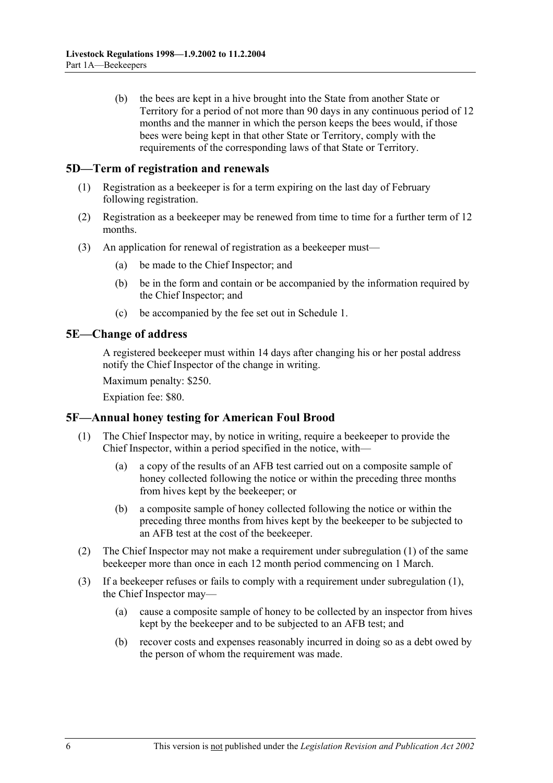(b) the bees are kept in a hive brought into the State from another State or Territory for a period of not more than 90 days in any continuous period of 12 months and the manner in which the person keeps the bees would, if those bees were being kept in that other State or Territory, comply with the requirements of the corresponding laws of that State or Territory.

### **5D—Term of registration and renewals**

- (1) Registration as a beekeeper is for a term expiring on the last day of February following registration.
- (2) Registration as a beekeeper may be renewed from time to time for a further term of 12 months.
- (3) An application for renewal of registration as a beekeeper must—
	- (a) be made to the Chief Inspector; and
	- (b) be in the form and contain or be accompanied by the information required by the Chief Inspector; and
	- (c) be accompanied by the fee set out in Schedule 1.

### **5E—Change of address**

A registered beekeeper must within 14 days after changing his or her postal address notify the Chief Inspector of the change in writing.

Maximum penalty: \$250.

Expiation fee: \$80.

### **5F—Annual honey testing for American Foul Brood**

- (1) The Chief Inspector may, by notice in writing, require a beekeeper to provide the Chief Inspector, within a period specified in the notice, with—
	- (a) a copy of the results of an AFB test carried out on a composite sample of honey collected following the notice or within the preceding three months from hives kept by the beekeeper; or
	- (b) a composite sample of honey collected following the notice or within the preceding three months from hives kept by the beekeeper to be subjected to an AFB test at the cost of the beekeeper.
- (2) The Chief Inspector may not make a requirement under subregulation (1) of the same beekeeper more than once in each 12 month period commencing on 1 March.
- (3) If a beekeeper refuses or fails to comply with a requirement under subregulation (1), the Chief Inspector may—
	- (a) cause a composite sample of honey to be collected by an inspector from hives kept by the beekeeper and to be subjected to an AFB test; and
	- (b) recover costs and expenses reasonably incurred in doing so as a debt owed by the person of whom the requirement was made.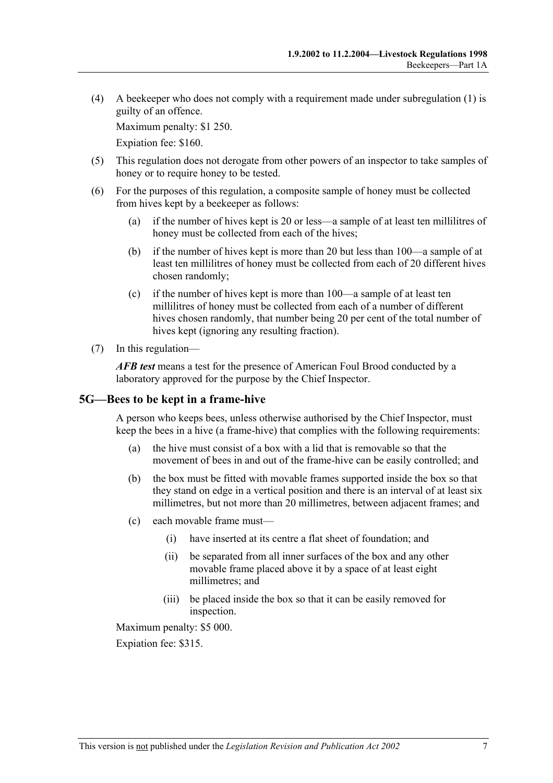(4) A beekeeper who does not comply with a requirement made under subregulation (1) is guilty of an offence.

Maximum penalty: \$1 250.

Expiation fee: \$160.

- (5) This regulation does not derogate from other powers of an inspector to take samples of honey or to require honey to be tested.
- (6) For the purposes of this regulation, a composite sample of honey must be collected from hives kept by a beekeeper as follows:
	- (a) if the number of hives kept is 20 or less—a sample of at least ten millilitres of honey must be collected from each of the hives;
	- (b) if the number of hives kept is more than 20 but less than 100—a sample of at least ten millilitres of honey must be collected from each of 20 different hives chosen randomly;
	- (c) if the number of hives kept is more than 100—a sample of at least ten millilitres of honey must be collected from each of a number of different hives chosen randomly, that number being 20 per cent of the total number of hives kept (ignoring any resulting fraction).
- (7) In this regulation—

*AFB test* means a test for the presence of American Foul Brood conducted by a laboratory approved for the purpose by the Chief Inspector.

### **5G—Bees to be kept in a frame-hive**

A person who keeps bees, unless otherwise authorised by the Chief Inspector, must keep the bees in a hive (a frame-hive) that complies with the following requirements:

- (a) the hive must consist of a box with a lid that is removable so that the movement of bees in and out of the frame-hive can be easily controlled; and
- (b) the box must be fitted with movable frames supported inside the box so that they stand on edge in a vertical position and there is an interval of at least six millimetres, but not more than 20 millimetres, between adjacent frames; and
- (c) each movable frame must—
	- (i) have inserted at its centre a flat sheet of foundation; and
	- (ii) be separated from all inner surfaces of the box and any other movable frame placed above it by a space of at least eight millimetres; and
	- (iii) be placed inside the box so that it can be easily removed for inspection.

Maximum penalty: \$5 000.

Expiation fee: \$315.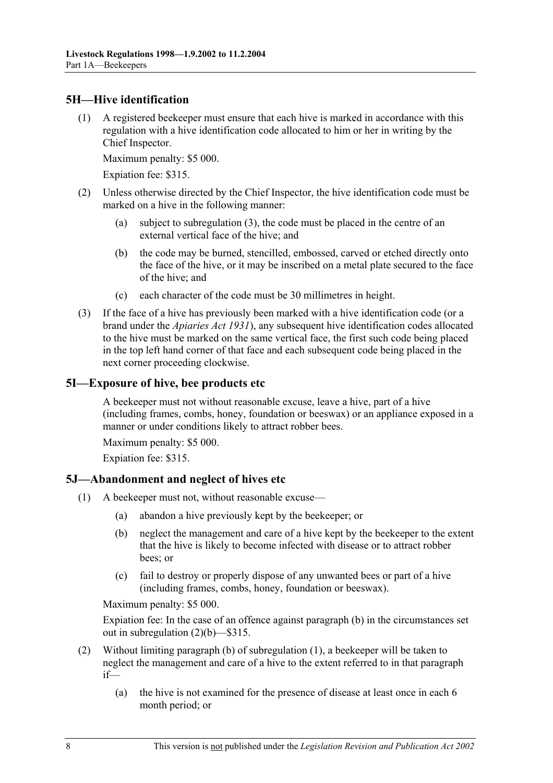### **5H—Hive identification**

 (1) A registered beekeeper must ensure that each hive is marked in accordance with this regulation with a hive identification code allocated to him or her in writing by the Chief Inspector.

Maximum penalty: \$5 000.

Expiation fee: \$315.

- (2) Unless otherwise directed by the Chief Inspector, the hive identification code must be marked on a hive in the following manner:
	- (a) subject to subregulation (3), the code must be placed in the centre of an external vertical face of the hive; and
	- (b) the code may be burned, stencilled, embossed, carved or etched directly onto the face of the hive, or it may be inscribed on a metal plate secured to the face of the hive; and
	- (c) each character of the code must be 30 millimetres in height.
- (3) If the face of a hive has previously been marked with a hive identification code (or a brand under the *Apiaries Act 1931*), any subsequent hive identification codes allocated to the hive must be marked on the same vertical face, the first such code being placed in the top left hand corner of that face and each subsequent code being placed in the next corner proceeding clockwise.

### **5I—Exposure of hive, bee products etc**

A beekeeper must not without reasonable excuse, leave a hive, part of a hive (including frames, combs, honey, foundation or beeswax) or an appliance exposed in a manner or under conditions likely to attract robber bees.

Maximum penalty: \$5 000.

Expiation fee: \$315.

### **5J—Abandonment and neglect of hives etc**

- (1) A beekeeper must not, without reasonable excuse—
	- (a) abandon a hive previously kept by the beekeeper; or
	- (b) neglect the management and care of a hive kept by the beekeeper to the extent that the hive is likely to become infected with disease or to attract robber bees; or
	- (c) fail to destroy or properly dispose of any unwanted bees or part of a hive (including frames, combs, honey, foundation or beeswax).

Maximum penalty: \$5 000.

Expiation fee: In the case of an offence against paragraph (b) in the circumstances set out in subregulation (2)(b)—\$315.

- (2) Without limiting paragraph (b) of subregulation (1), a beekeeper will be taken to neglect the management and care of a hive to the extent referred to in that paragraph if—
	- (a) the hive is not examined for the presence of disease at least once in each 6 month period; or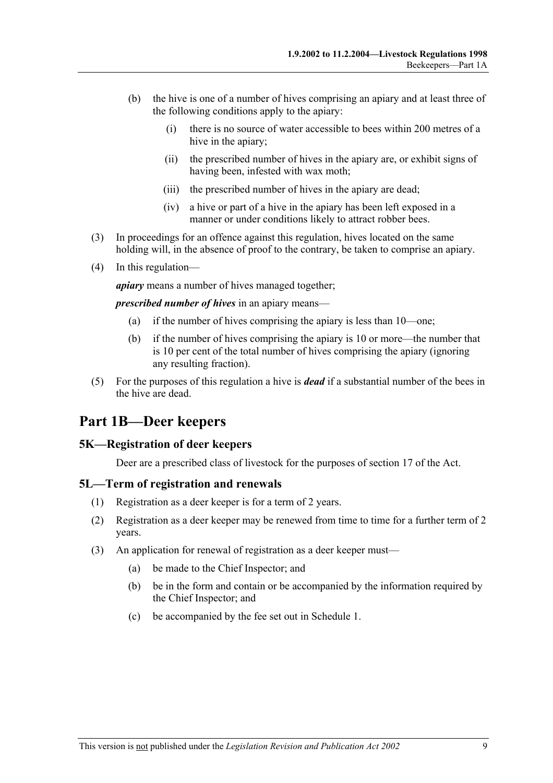- (b) the hive is one of a number of hives comprising an apiary and at least three of the following conditions apply to the apiary:
	- (i) there is no source of water accessible to bees within 200 metres of a hive in the apiary:
	- (ii) the prescribed number of hives in the apiary are, or exhibit signs of having been, infested with wax moth;
	- (iii) the prescribed number of hives in the apiary are dead;
	- (iv) a hive or part of a hive in the apiary has been left exposed in a manner or under conditions likely to attract robber bees.
- (3) In proceedings for an offence against this regulation, hives located on the same holding will, in the absence of proof to the contrary, be taken to comprise an apiary.
- (4) In this regulation—

*apiary* means a number of hives managed together;

*prescribed number of hives* in an apiary means—

- (a) if the number of hives comprising the apiary is less than 10—one;
- (b) if the number of hives comprising the apiary is 10 or more—the number that is 10 per cent of the total number of hives comprising the apiary (ignoring any resulting fraction).
- (5) For the purposes of this regulation a hive is *dead* if a substantial number of the bees in the hive are dead.

### **Part 1B—Deer keepers**

### **5K—Registration of deer keepers**

Deer are a prescribed class of livestock for the purposes of section 17 of the Act.

### **5L—Term of registration and renewals**

- (1) Registration as a deer keeper is for a term of 2 years.
- (2) Registration as a deer keeper may be renewed from time to time for a further term of 2 years.
- (3) An application for renewal of registration as a deer keeper must—
	- (a) be made to the Chief Inspector; and
	- (b) be in the form and contain or be accompanied by the information required by the Chief Inspector; and
	- (c) be accompanied by the fee set out in Schedule 1.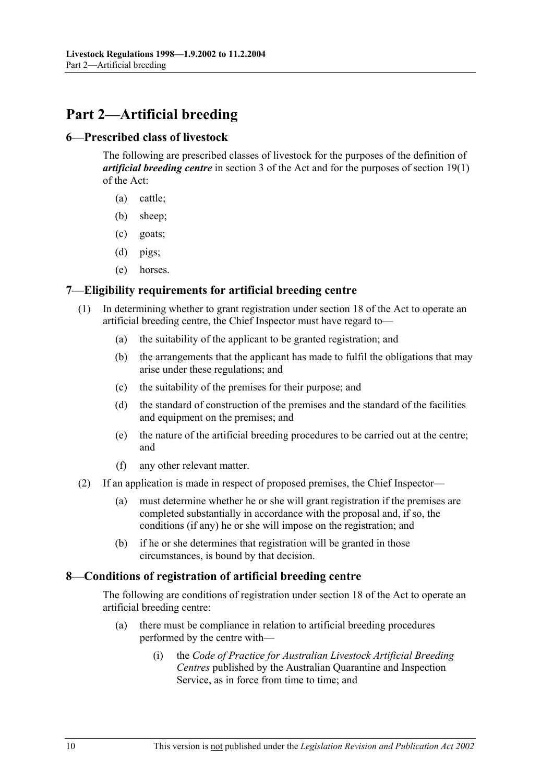## **Part 2—Artificial breeding**

### **6—Prescribed class of livestock**

The following are prescribed classes of livestock for the purposes of the definition of *artificial breeding centre* in section 3 of the Act and for the purposes of section 19(1) of the Act:

- (a) cattle;
- (b) sheep;
- (c) goats;
- (d) pigs;
- (e) horses.

### **7—Eligibility requirements for artificial breeding centre**

- (1) In determining whether to grant registration under section 18 of the Act to operate an artificial breeding centre, the Chief Inspector must have regard to—
	- (a) the suitability of the applicant to be granted registration; and
	- (b) the arrangements that the applicant has made to fulfil the obligations that may arise under these regulations; and
	- (c) the suitability of the premises for their purpose; and
	- (d) the standard of construction of the premises and the standard of the facilities and equipment on the premises; and
	- (e) the nature of the artificial breeding procedures to be carried out at the centre; and
	- (f) any other relevant matter.
- (2) If an application is made in respect of proposed premises, the Chief Inspector—
	- (a) must determine whether he or she will grant registration if the premises are completed substantially in accordance with the proposal and, if so, the conditions (if any) he or she will impose on the registration; and
	- (b) if he or she determines that registration will be granted in those circumstances, is bound by that decision.

### **8—Conditions of registration of artificial breeding centre**

The following are conditions of registration under section 18 of the Act to operate an artificial breeding centre:

- (a) there must be compliance in relation to artificial breeding procedures performed by the centre with—
	- (i) the *Code of Practice for Australian Livestock Artificial Breeding Centres* published by the Australian Quarantine and Inspection Service, as in force from time to time; and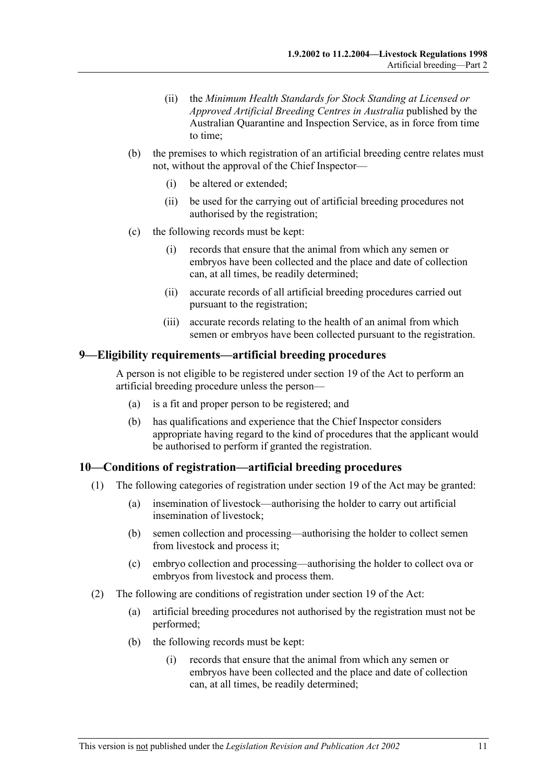- (ii) the *Minimum Health Standards for Stock Standing at Licensed or Approved Artificial Breeding Centres in Australia* published by the Australian Quarantine and Inspection Service, as in force from time to time;
- (b) the premises to which registration of an artificial breeding centre relates must not, without the approval of the Chief Inspector—
	- (i) be altered or extended;
	- (ii) be used for the carrying out of artificial breeding procedures not authorised by the registration;
- (c) the following records must be kept:
	- (i) records that ensure that the animal from which any semen or embryos have been collected and the place and date of collection can, at all times, be readily determined;
	- (ii) accurate records of all artificial breeding procedures carried out pursuant to the registration;
	- (iii) accurate records relating to the health of an animal from which semen or embryos have been collected pursuant to the registration.

### **9—Eligibility requirements—artificial breeding procedures**

A person is not eligible to be registered under section 19 of the Act to perform an artificial breeding procedure unless the person—

- (a) is a fit and proper person to be registered; and
- (b) has qualifications and experience that the Chief Inspector considers appropriate having regard to the kind of procedures that the applicant would be authorised to perform if granted the registration.

### **10—Conditions of registration—artificial breeding procedures**

- (1) The following categories of registration under section 19 of the Act may be granted:
	- (a) insemination of livestock—authorising the holder to carry out artificial insemination of livestock;
	- (b) semen collection and processing—authorising the holder to collect semen from livestock and process it;
	- (c) embryo collection and processing—authorising the holder to collect ova or embryos from livestock and process them.
- (2) The following are conditions of registration under section 19 of the Act:
	- (a) artificial breeding procedures not authorised by the registration must not be performed;
	- (b) the following records must be kept:
		- (i) records that ensure that the animal from which any semen or embryos have been collected and the place and date of collection can, at all times, be readily determined;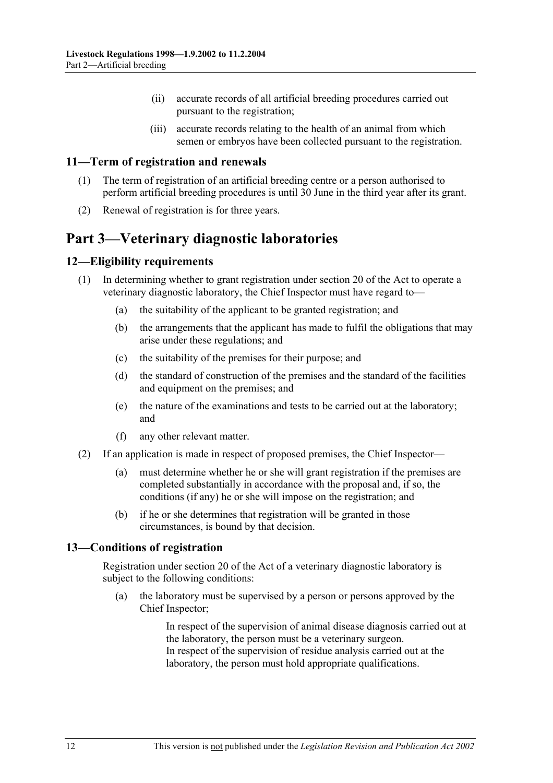- (ii) accurate records of all artificial breeding procedures carried out pursuant to the registration;
- (iii) accurate records relating to the health of an animal from which semen or embryos have been collected pursuant to the registration.

### **11—Term of registration and renewals**

- (1) The term of registration of an artificial breeding centre or a person authorised to perform artificial breeding procedures is until 30 June in the third year after its grant.
- (2) Renewal of registration is for three years.

## **Part 3—Veterinary diagnostic laboratories**

### **12—Eligibility requirements**

- (1) In determining whether to grant registration under section 20 of the Act to operate a veterinary diagnostic laboratory, the Chief Inspector must have regard to—
	- (a) the suitability of the applicant to be granted registration; and
	- (b) the arrangements that the applicant has made to fulfil the obligations that may arise under these regulations; and
	- (c) the suitability of the premises for their purpose; and
	- (d) the standard of construction of the premises and the standard of the facilities and equipment on the premises; and
	- (e) the nature of the examinations and tests to be carried out at the laboratory; and
	- (f) any other relevant matter.
- (2) If an application is made in respect of proposed premises, the Chief Inspector—
	- (a) must determine whether he or she will grant registration if the premises are completed substantially in accordance with the proposal and, if so, the conditions (if any) he or she will impose on the registration; and
	- (b) if he or she determines that registration will be granted in those circumstances, is bound by that decision.

### **13—Conditions of registration**

Registration under section 20 of the Act of a veterinary diagnostic laboratory is subject to the following conditions:

 (a) the laboratory must be supervised by a person or persons approved by the Chief Inspector;

> In respect of the supervision of animal disease diagnosis carried out at the laboratory, the person must be a veterinary surgeon. In respect of the supervision of residue analysis carried out at the laboratory, the person must hold appropriate qualifications.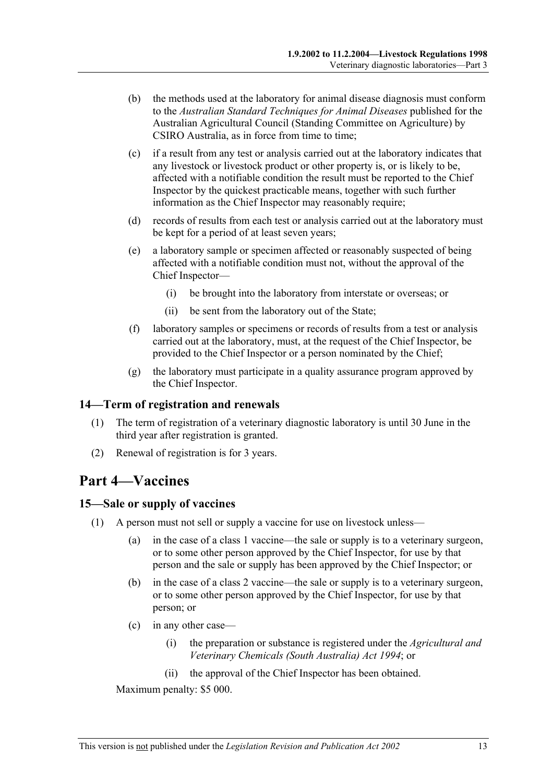- (b) the methods used at the laboratory for animal disease diagnosis must conform to the *Australian Standard Techniques for Animal Diseases* published for the Australian Agricultural Council (Standing Committee on Agriculture) by CSIRO Australia, as in force from time to time;
- (c) if a result from any test or analysis carried out at the laboratory indicates that any livestock or livestock product or other property is, or is likely to be, affected with a notifiable condition the result must be reported to the Chief Inspector by the quickest practicable means, together with such further information as the Chief Inspector may reasonably require;
- (d) records of results from each test or analysis carried out at the laboratory must be kept for a period of at least seven years;
- (e) a laboratory sample or specimen affected or reasonably suspected of being affected with a notifiable condition must not, without the approval of the Chief Inspector—
	- (i) be brought into the laboratory from interstate or overseas; or
	- (ii) be sent from the laboratory out of the State;
- (f) laboratory samples or specimens or records of results from a test or analysis carried out at the laboratory, must, at the request of the Chief Inspector, be provided to the Chief Inspector or a person nominated by the Chief;
- (g) the laboratory must participate in a quality assurance program approved by the Chief Inspector.

### **14—Term of registration and renewals**

- (1) The term of registration of a veterinary diagnostic laboratory is until 30 June in the third year after registration is granted.
- (2) Renewal of registration is for 3 years.

## **Part 4—Vaccines**

### **15—Sale or supply of vaccines**

- (1) A person must not sell or supply a vaccine for use on livestock unless—
	- (a) in the case of a class 1 vaccine—the sale or supply is to a veterinary surgeon, or to some other person approved by the Chief Inspector, for use by that person and the sale or supply has been approved by the Chief Inspector; or
	- (b) in the case of a class 2 vaccine—the sale or supply is to a veterinary surgeon, or to some other person approved by the Chief Inspector, for use by that person; or
	- (c) in any other case—
		- (i) the preparation or substance is registered under the *Agricultural and Veterinary Chemicals (South Australia) Act 1994*; or
		- (ii) the approval of the Chief Inspector has been obtained.

Maximum penalty: \$5 000.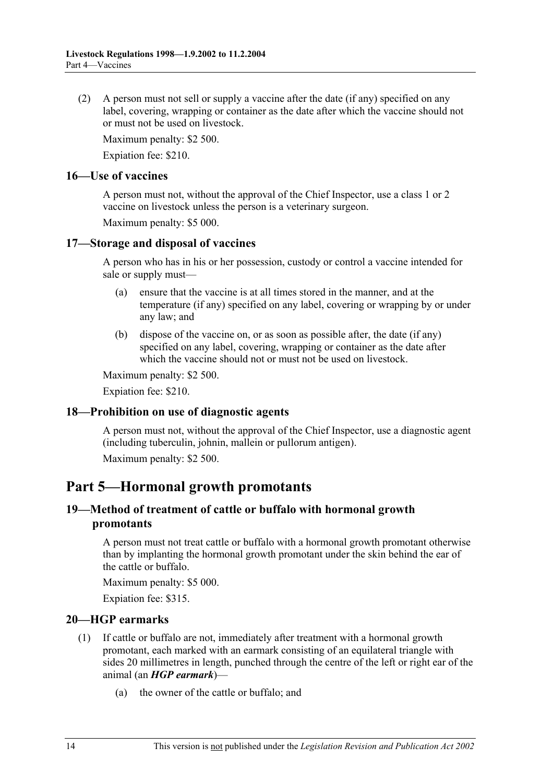(2) A person must not sell or supply a vaccine after the date (if any) specified on any label, covering, wrapping or container as the date after which the vaccine should not or must not be used on livestock.

Maximum penalty: \$2 500.

Expiation fee: \$210.

### **16—Use of vaccines**

A person must not, without the approval of the Chief Inspector, use a class 1 or 2 vaccine on livestock unless the person is a veterinary surgeon.

Maximum penalty: \$5 000.

### **17—Storage and disposal of vaccines**

A person who has in his or her possession, custody or control a vaccine intended for sale or supply must—

- (a) ensure that the vaccine is at all times stored in the manner, and at the temperature (if any) specified on any label, covering or wrapping by or under any law; and
- (b) dispose of the vaccine on, or as soon as possible after, the date (if any) specified on any label, covering, wrapping or container as the date after which the vaccine should not or must not be used on livestock.

Maximum penalty: \$2 500.

Expiation fee: \$210.

### **18—Prohibition on use of diagnostic agents**

A person must not, without the approval of the Chief Inspector, use a diagnostic agent (including tuberculin, johnin, mallein or pullorum antigen).

Maximum penalty: \$2 500.

### **Part 5—Hormonal growth promotants**

### **19—Method of treatment of cattle or buffalo with hormonal growth promotants**

A person must not treat cattle or buffalo with a hormonal growth promotant otherwise than by implanting the hormonal growth promotant under the skin behind the ear of the cattle or buffalo.

Maximum penalty: \$5 000.

Expiation fee: \$315.

### **20—HGP earmarks**

- (1) If cattle or buffalo are not, immediately after treatment with a hormonal growth promotant, each marked with an earmark consisting of an equilateral triangle with sides 20 millimetres in length, punched through the centre of the left or right ear of the animal (an *HGP earmark*)—
	- (a) the owner of the cattle or buffalo; and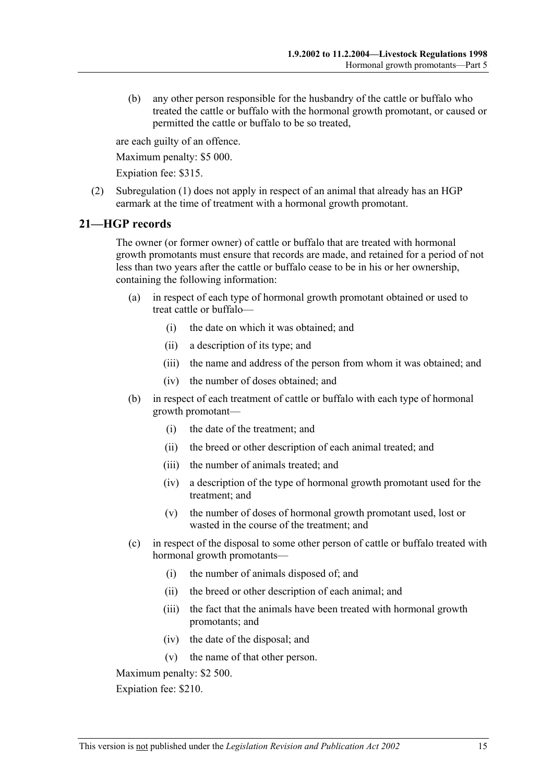(b) any other person responsible for the husbandry of the cattle or buffalo who treated the cattle or buffalo with the hormonal growth promotant, or caused or permitted the cattle or buffalo to be so treated,

are each guilty of an offence.

Maximum penalty: \$5 000.

Expiation fee: \$315.

 (2) Subregulation (1) does not apply in respect of an animal that already has an HGP earmark at the time of treatment with a hormonal growth promotant.

### **21—HGP records**

The owner (or former owner) of cattle or buffalo that are treated with hormonal growth promotants must ensure that records are made, and retained for a period of not less than two years after the cattle or buffalo cease to be in his or her ownership, containing the following information:

- (a) in respect of each type of hormonal growth promotant obtained or used to treat cattle or buffalo—
	- (i) the date on which it was obtained; and
	- (ii) a description of its type; and
	- (iii) the name and address of the person from whom it was obtained; and
	- (iv) the number of doses obtained; and
- (b) in respect of each treatment of cattle or buffalo with each type of hormonal growth promotant—
	- (i) the date of the treatment; and
	- (ii) the breed or other description of each animal treated; and
	- (iii) the number of animals treated; and
	- (iv) a description of the type of hormonal growth promotant used for the treatment; and
	- (v) the number of doses of hormonal growth promotant used, lost or wasted in the course of the treatment; and
- (c) in respect of the disposal to some other person of cattle or buffalo treated with hormonal growth promotants—
	- (i) the number of animals disposed of; and
	- (ii) the breed or other description of each animal; and
	- (iii) the fact that the animals have been treated with hormonal growth promotants; and
	- (iv) the date of the disposal; and
	- (v) the name of that other person.

Maximum penalty: \$2 500.

Expiation fee: \$210.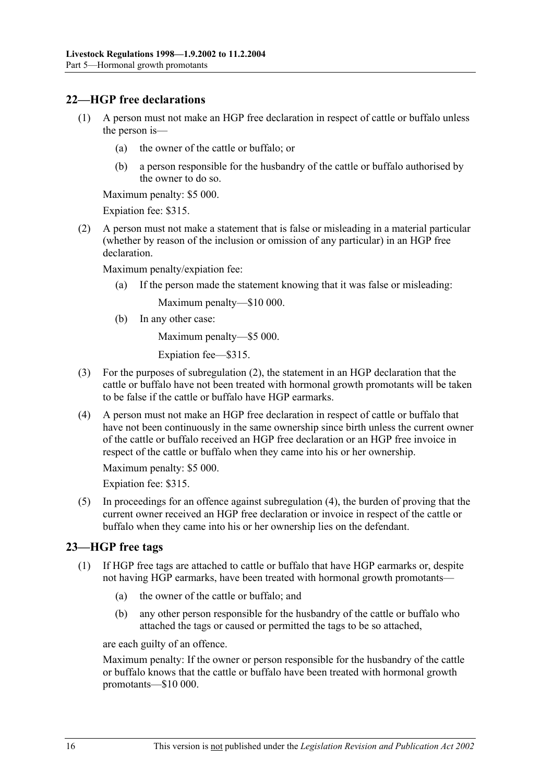### **22—HGP free declarations**

- (1) A person must not make an HGP free declaration in respect of cattle or buffalo unless the person is—
	- (a) the owner of the cattle or buffalo; or
	- (b) a person responsible for the husbandry of the cattle or buffalo authorised by the owner to do so.

Maximum penalty: \$5 000.

Expiation fee: \$315.

 (2) A person must not make a statement that is false or misleading in a material particular (whether by reason of the inclusion or omission of any particular) in an HGP free declaration.

Maximum penalty/expiation fee:

(a) If the person made the statement knowing that it was false or misleading:

Maximum penalty—\$10 000.

(b) In any other case:

Maximum penalty—\$5 000.

Expiation fee—\$315.

- (3) For the purposes of subregulation (2), the statement in an HGP declaration that the cattle or buffalo have not been treated with hormonal growth promotants will be taken to be false if the cattle or buffalo have HGP earmarks.
- (4) A person must not make an HGP free declaration in respect of cattle or buffalo that have not been continuously in the same ownership since birth unless the current owner of the cattle or buffalo received an HGP free declaration or an HGP free invoice in respect of the cattle or buffalo when they came into his or her ownership.

Maximum penalty: \$5 000.

Expiation fee: \$315.

 (5) In proceedings for an offence against subregulation (4), the burden of proving that the current owner received an HGP free declaration or invoice in respect of the cattle or buffalo when they came into his or her ownership lies on the defendant.

### **23—HGP free tags**

- (1) If HGP free tags are attached to cattle or buffalo that have HGP earmarks or, despite not having HGP earmarks, have been treated with hormonal growth promotants—
	- (a) the owner of the cattle or buffalo; and
	- (b) any other person responsible for the husbandry of the cattle or buffalo who attached the tags or caused or permitted the tags to be so attached,

are each guilty of an offence.

Maximum penalty: If the owner or person responsible for the husbandry of the cattle or buffalo knows that the cattle or buffalo have been treated with hormonal growth promotants—\$10 000.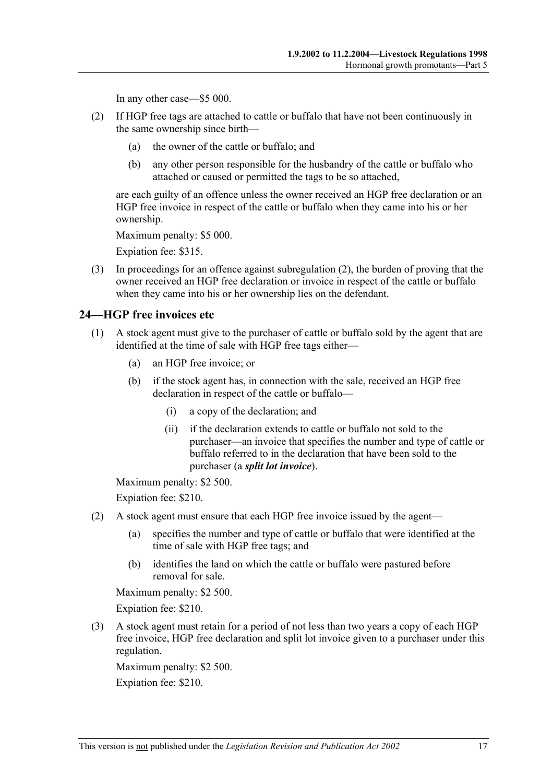In any other case—\$5 000.

- (2) If HGP free tags are attached to cattle or buffalo that have not been continuously in the same ownership since birth—
	- (a) the owner of the cattle or buffalo; and
	- (b) any other person responsible for the husbandry of the cattle or buffalo who attached or caused or permitted the tags to be so attached,

are each guilty of an offence unless the owner received an HGP free declaration or an HGP free invoice in respect of the cattle or buffalo when they came into his or her ownership.

Maximum penalty: \$5 000.

Expiation fee: \$315.

 (3) In proceedings for an offence against subregulation (2), the burden of proving that the owner received an HGP free declaration or invoice in respect of the cattle or buffalo when they came into his or her ownership lies on the defendant.

### **24—HGP free invoices etc**

- (1) A stock agent must give to the purchaser of cattle or buffalo sold by the agent that are identified at the time of sale with HGP free tags either—
	- (a) an HGP free invoice; or
	- (b) if the stock agent has, in connection with the sale, received an HGP free declaration in respect of the cattle or buffalo—
		- (i) a copy of the declaration; and
		- (ii) if the declaration extends to cattle or buffalo not sold to the purchaser—an invoice that specifies the number and type of cattle or buffalo referred to in the declaration that have been sold to the purchaser (a *split lot invoice*).

Maximum penalty: \$2 500.

Expiation fee: \$210.

- (2) A stock agent must ensure that each HGP free invoice issued by the agent—
	- (a) specifies the number and type of cattle or buffalo that were identified at the time of sale with HGP free tags; and
	- (b) identifies the land on which the cattle or buffalo were pastured before removal for sale.

Maximum penalty: \$2 500.

Expiation fee: \$210.

 (3) A stock agent must retain for a period of not less than two years a copy of each HGP free invoice, HGP free declaration and split lot invoice given to a purchaser under this regulation.

Maximum penalty: \$2 500.

Expiation fee: \$210.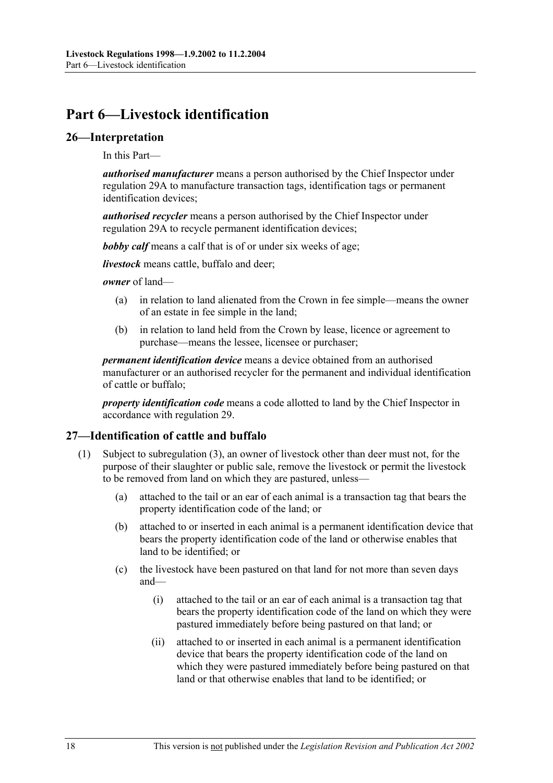## **Part 6—Livestock identification**

### **26—Interpretation**

In this Part—

*authorised manufacturer* means a person authorised by the Chief Inspector under regulation 29A to manufacture transaction tags, identification tags or permanent identification devices;

*authorised recycler* means a person authorised by the Chief Inspector under regulation 29A to recycle permanent identification devices;

*bobby calf* means a calf that is of or under six weeks of age;

*livestock* means cattle, buffalo and deer;

*owner* of land—

- (a) in relation to land alienated from the Crown in fee simple—means the owner of an estate in fee simple in the land;
- (b) in relation to land held from the Crown by lease, licence or agreement to purchase—means the lessee, licensee or purchaser;

*permanent identification device* means a device obtained from an authorised manufacturer or an authorised recycler for the permanent and individual identification of cattle or buffalo;

*property identification code* means a code allotted to land by the Chief Inspector in accordance with regulation 29.

### **27—Identification of cattle and buffalo**

- (1) Subject to subregulation (3), an owner of livestock other than deer must not, for the purpose of their slaughter or public sale, remove the livestock or permit the livestock to be removed from land on which they are pastured, unless—
	- (a) attached to the tail or an ear of each animal is a transaction tag that bears the property identification code of the land; or
	- (b) attached to or inserted in each animal is a permanent identification device that bears the property identification code of the land or otherwise enables that land to be identified; or
	- (c) the livestock have been pastured on that land for not more than seven days and—
		- (i) attached to the tail or an ear of each animal is a transaction tag that bears the property identification code of the land on which they were pastured immediately before being pastured on that land; or
		- (ii) attached to or inserted in each animal is a permanent identification device that bears the property identification code of the land on which they were pastured immediately before being pastured on that land or that otherwise enables that land to be identified; or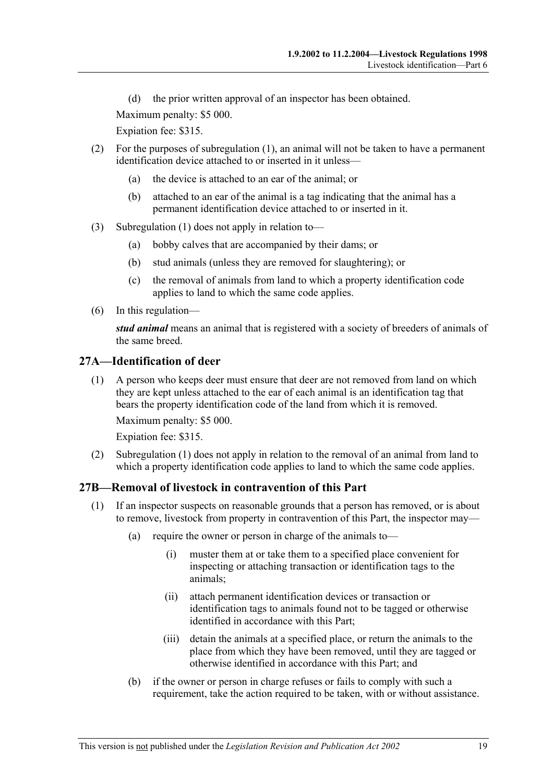(d) the prior written approval of an inspector has been obtained.

Maximum penalty: \$5 000.

Expiation fee: \$315.

- (2) For the purposes of subregulation (1), an animal will not be taken to have a permanent identification device attached to or inserted in it unless—
	- (a) the device is attached to an ear of the animal; or
	- (b) attached to an ear of the animal is a tag indicating that the animal has a permanent identification device attached to or inserted in it.
- (3) Subregulation (1) does not apply in relation to—
	- (a) bobby calves that are accompanied by their dams; or
	- (b) stud animals (unless they are removed for slaughtering); or
	- (c) the removal of animals from land to which a property identification code applies to land to which the same code applies.
- (6) In this regulation—

*stud animal* means an animal that is registered with a society of breeders of animals of the same breed.

### **27A—Identification of deer**

 (1) A person who keeps deer must ensure that deer are not removed from land on which they are kept unless attached to the ear of each animal is an identification tag that bears the property identification code of the land from which it is removed.

Maximum penalty: \$5 000.

Expiation fee: \$315.

 (2) Subregulation (1) does not apply in relation to the removal of an animal from land to which a property identification code applies to land to which the same code applies.

### **27B—Removal of livestock in contravention of this Part**

- (1) If an inspector suspects on reasonable grounds that a person has removed, or is about to remove, livestock from property in contravention of this Part, the inspector may—
	- (a) require the owner or person in charge of the animals to—
		- (i) muster them at or take them to a specified place convenient for inspecting or attaching transaction or identification tags to the animals;
		- (ii) attach permanent identification devices or transaction or identification tags to animals found not to be tagged or otherwise identified in accordance with this Part;
		- (iii) detain the animals at a specified place, or return the animals to the place from which they have been removed, until they are tagged or otherwise identified in accordance with this Part; and
	- (b) if the owner or person in charge refuses or fails to comply with such a requirement, take the action required to be taken, with or without assistance.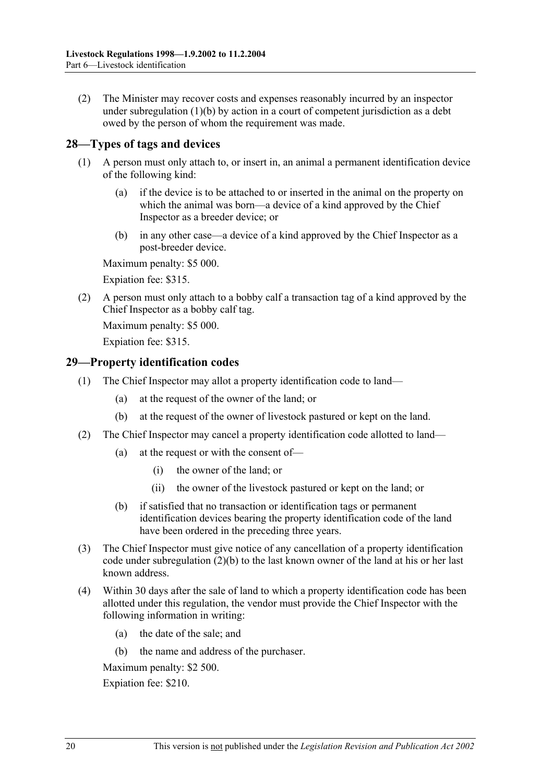(2) The Minister may recover costs and expenses reasonably incurred by an inspector under subregulation (1)(b) by action in a court of competent jurisdiction as a debt owed by the person of whom the requirement was made.

### **28—Types of tags and devices**

- (1) A person must only attach to, or insert in, an animal a permanent identification device of the following kind:
	- (a) if the device is to be attached to or inserted in the animal on the property on which the animal was born—a device of a kind approved by the Chief Inspector as a breeder device; or
	- (b) in any other case—a device of a kind approved by the Chief Inspector as a post-breeder device.

Maximum penalty: \$5 000.

Expiation fee: \$315.

 (2) A person must only attach to a bobby calf a transaction tag of a kind approved by the Chief Inspector as a bobby calf tag.

Maximum penalty: \$5 000.

Expiation fee: \$315.

### **29—Property identification codes**

- (1) The Chief Inspector may allot a property identification code to land—
	- (a) at the request of the owner of the land; or
	- (b) at the request of the owner of livestock pastured or kept on the land.
- (2) The Chief Inspector may cancel a property identification code allotted to land—
	- (a) at the request or with the consent of—
		- (i) the owner of the land; or
		- (ii) the owner of the livestock pastured or kept on the land; or
	- (b) if satisfied that no transaction or identification tags or permanent identification devices bearing the property identification code of the land have been ordered in the preceding three years.
- (3) The Chief Inspector must give notice of any cancellation of a property identification code under subregulation (2)(b) to the last known owner of the land at his or her last known address.
- (4) Within 30 days after the sale of land to which a property identification code has been allotted under this regulation, the vendor must provide the Chief Inspector with the following information in writing:
	- (a) the date of the sale; and
	- (b) the name and address of the purchaser.

Maximum penalty: \$2 500.

Expiation fee: \$210.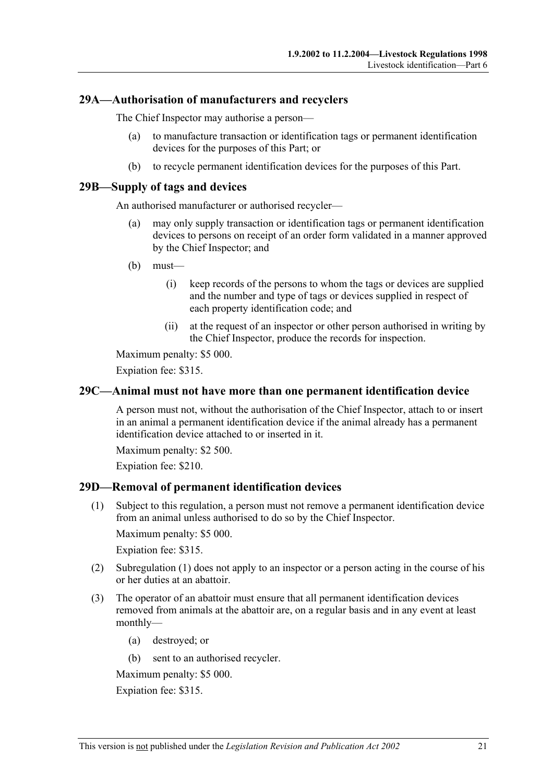### **29A—Authorisation of manufacturers and recyclers**

The Chief Inspector may authorise a person—

- (a) to manufacture transaction or identification tags or permanent identification devices for the purposes of this Part; or
- (b) to recycle permanent identification devices for the purposes of this Part.

### **29B—Supply of tags and devices**

An authorised manufacturer or authorised recycler—

- (a) may only supply transaction or identification tags or permanent identification devices to persons on receipt of an order form validated in a manner approved by the Chief Inspector; and
- (b) must—
	- (i) keep records of the persons to whom the tags or devices are supplied and the number and type of tags or devices supplied in respect of each property identification code; and
	- (ii) at the request of an inspector or other person authorised in writing by the Chief Inspector, produce the records for inspection.

Maximum penalty: \$5 000.

Expiation fee: \$315.

### **29C—Animal must not have more than one permanent identification device**

A person must not, without the authorisation of the Chief Inspector, attach to or insert in an animal a permanent identification device if the animal already has a permanent identification device attached to or inserted in it.

Maximum penalty: \$2 500.

Expiation fee: \$210.

### **29D—Removal of permanent identification devices**

 (1) Subject to this regulation, a person must not remove a permanent identification device from an animal unless authorised to do so by the Chief Inspector.

Maximum penalty: \$5 000.

Expiation fee: \$315.

- (2) Subregulation (1) does not apply to an inspector or a person acting in the course of his or her duties at an abattoir.
- (3) The operator of an abattoir must ensure that all permanent identification devices removed from animals at the abattoir are, on a regular basis and in any event at least monthly—
	- (a) destroyed; or
	- (b) sent to an authorised recycler.

Maximum penalty: \$5 000.

Expiation fee: \$315.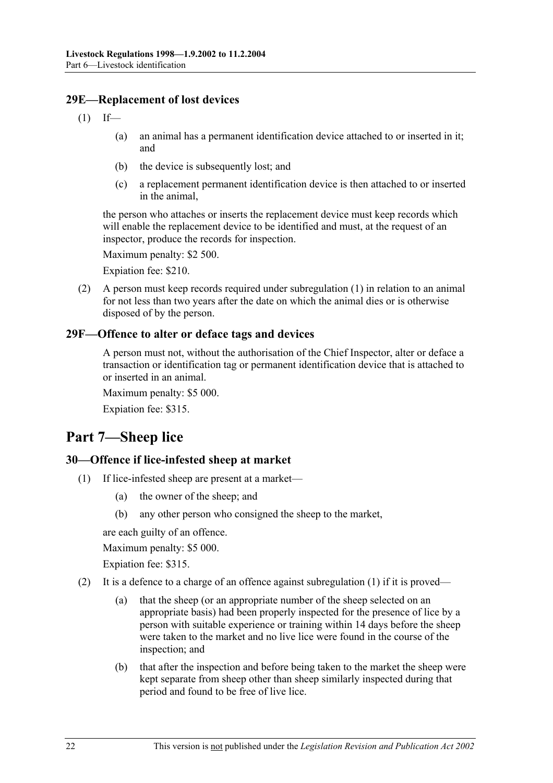### **29E—Replacement of lost devices**

- $(1)$  If—
	- (a) an animal has a permanent identification device attached to or inserted in it; and
	- (b) the device is subsequently lost; and
	- (c) a replacement permanent identification device is then attached to or inserted in the animal,

the person who attaches or inserts the replacement device must keep records which will enable the replacement device to be identified and must, at the request of an inspector, produce the records for inspection.

Maximum penalty: \$2 500.

Expiation fee: \$210.

 (2) A person must keep records required under subregulation (1) in relation to an animal for not less than two years after the date on which the animal dies or is otherwise disposed of by the person.

### **29F—Offence to alter or deface tags and devices**

A person must not, without the authorisation of the Chief Inspector, alter or deface a transaction or identification tag or permanent identification device that is attached to or inserted in an animal.

Maximum penalty: \$5 000.

Expiation fee: \$315.

## **Part 7—Sheep lice**

### **30—Offence if lice-infested sheep at market**

- (1) If lice-infested sheep are present at a market—
	- (a) the owner of the sheep; and
	- (b) any other person who consigned the sheep to the market,

are each guilty of an offence.

Maximum penalty: \$5 000.

Expiation fee: \$315.

- (2) It is a defence to a charge of an offence against subregulation  $(1)$  if it is proved—
	- (a) that the sheep (or an appropriate number of the sheep selected on an appropriate basis) had been properly inspected for the presence of lice by a person with suitable experience or training within 14 days before the sheep were taken to the market and no live lice were found in the course of the inspection; and
	- (b) that after the inspection and before being taken to the market the sheep were kept separate from sheep other than sheep similarly inspected during that period and found to be free of live lice.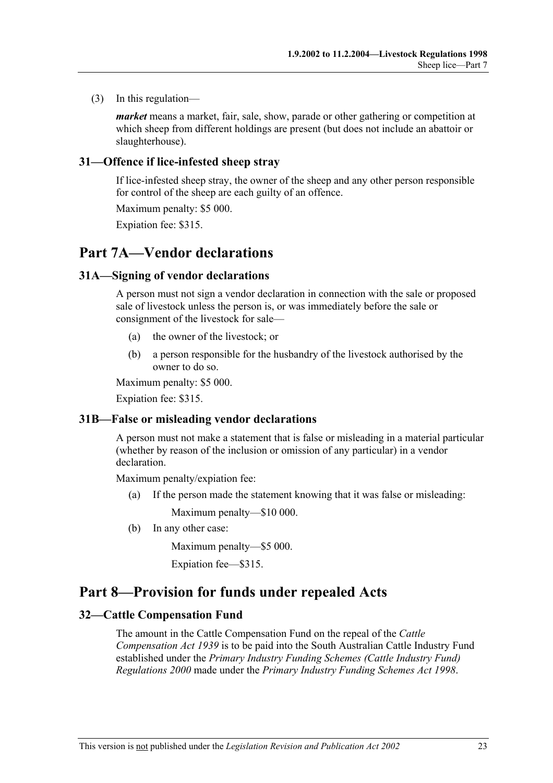(3) In this regulation—

*market* means a market, fair, sale, show, parade or other gathering or competition at which sheep from different holdings are present (but does not include an abattoir or slaughterhouse).

### **31—Offence if lice-infested sheep stray**

If lice-infested sheep stray, the owner of the sheep and any other person responsible for control of the sheep are each guilty of an offence.

Maximum penalty: \$5 000.

Expiation fee: \$315.

### **Part 7A—Vendor declarations**

### **31A—Signing of vendor declarations**

A person must not sign a vendor declaration in connection with the sale or proposed sale of livestock unless the person is, or was immediately before the sale or consignment of the livestock for sale—

- (a) the owner of the livestock; or
- (b) a person responsible for the husbandry of the livestock authorised by the owner to do so.

Maximum penalty: \$5 000.

Expiation fee: \$315.

### **31B—False or misleading vendor declarations**

A person must not make a statement that is false or misleading in a material particular (whether by reason of the inclusion or omission of any particular) in a vendor declaration.

Maximum penalty/expiation fee:

(a) If the person made the statement knowing that it was false or misleading:

Maximum penalty—\$10 000.

(b) In any other case:

Maximum penalty—\$5 000.

Expiation fee—\$315.

### **Part 8—Provision for funds under repealed Acts**

### **32—Cattle Compensation Fund**

The amount in the Cattle Compensation Fund on the repeal of the *Cattle Compensation Act 1939* is to be paid into the South Australian Cattle Industry Fund established under the *Primary Industry Funding Schemes (Cattle Industry Fund) Regulations 2000* made under the *Primary Industry Funding Schemes Act 1998*.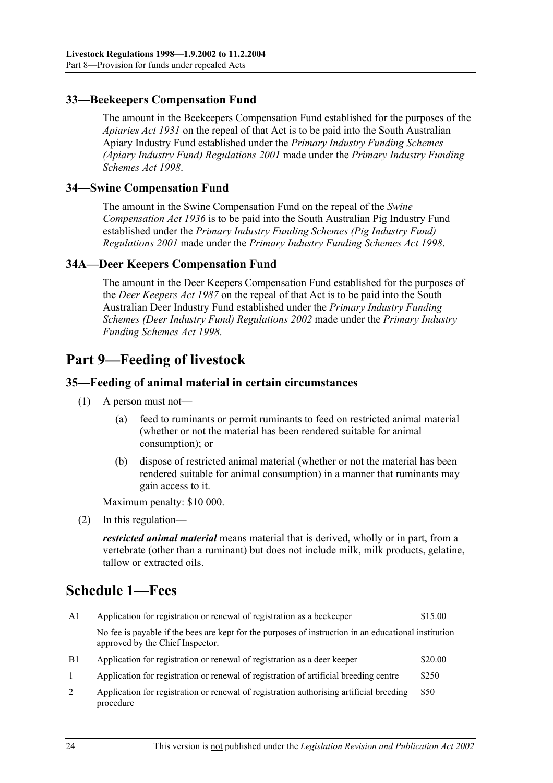### **33—Beekeepers Compensation Fund**

The amount in the Beekeepers Compensation Fund established for the purposes of the *Apiaries Act 1931* on the repeal of that Act is to be paid into the South Australian Apiary Industry Fund established under the *Primary Industry Funding Schemes (Apiary Industry Fund) Regulations 2001* made under the *Primary Industry Funding Schemes Act 1998*.

### **34—Swine Compensation Fund**

The amount in the Swine Compensation Fund on the repeal of the *Swine Compensation Act 1936* is to be paid into the South Australian Pig Industry Fund established under the *Primary Industry Funding Schemes (Pig Industry Fund) Regulations 2001* made under the *Primary Industry Funding Schemes Act 1998*.

### **34A—Deer Keepers Compensation Fund**

The amount in the Deer Keepers Compensation Fund established for the purposes of the *Deer Keepers Act 1987* on the repeal of that Act is to be paid into the South Australian Deer Industry Fund established under the *Primary Industry Funding Schemes (Deer Industry Fund) Regulations 2002* made under the *Primary Industry Funding Schemes Act 1998*.

## **Part 9—Feeding of livestock**

### **35—Feeding of animal material in certain circumstances**

- (1) A person must not—
	- (a) feed to ruminants or permit ruminants to feed on restricted animal material (whether or not the material has been rendered suitable for animal consumption); or
	- (b) dispose of restricted animal material (whether or not the material has been rendered suitable for animal consumption) in a manner that ruminants may gain access to it.

Maximum penalty: \$10 000.

(2) In this regulation—

*restricted animal material* means material that is derived, wholly or in part, from a vertebrate (other than a ruminant) but does not include milk, milk products, gelatine, tallow or extracted oils.

## **Schedule 1—Fees**

| A1         | Application for registration or renewal of registration as a beekeeper                                                                   | \$15.00 |
|------------|------------------------------------------------------------------------------------------------------------------------------------------|---------|
|            | No fee is payable if the bees are kept for the purposes of instruction in an educational institution<br>approved by the Chief Inspector. |         |
| <b>B</b> 1 | Application for registration or renewal of registration as a deer keeper                                                                 | \$20.00 |
| 1          | Application for registration or renewal of registration of artificial breeding centre                                                    | \$250   |
| 2          | Application for registration or renewal of registration authorising artificial breeding<br>procedure                                     | \$50    |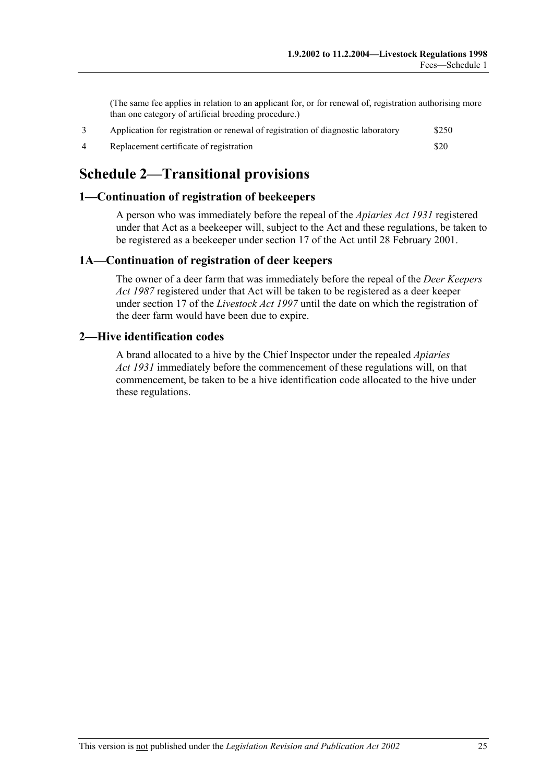(The same fee applies in relation to an applicant for, or for renewal of, registration authorising more than one category of artificial breeding procedure.)

| Application for registration or renewal of registration of diagnostic laboratory | \$250 |
|----------------------------------------------------------------------------------|-------|
| Replacement certificate of registration                                          | \$20  |

## **Schedule 2—Transitional provisions**

### **1—Continuation of registration of beekeepers**

A person who was immediately before the repeal of the *Apiaries Act 1931* registered under that Act as a beekeeper will, subject to the Act and these regulations, be taken to be registered as a beekeeper under section 17 of the Act until 28 February 2001.

### **1A—Continuation of registration of deer keepers**

The owner of a deer farm that was immediately before the repeal of the *Deer Keepers Act 1987* registered under that Act will be taken to be registered as a deer keeper under section 17 of the *Livestock Act 1997* until the date on which the registration of the deer farm would have been due to expire.

### **2—Hive identification codes**

A brand allocated to a hive by the Chief Inspector under the repealed *Apiaries Act 1931* immediately before the commencement of these regulations will, on that commencement, be taken to be a hive identification code allocated to the hive under these regulations.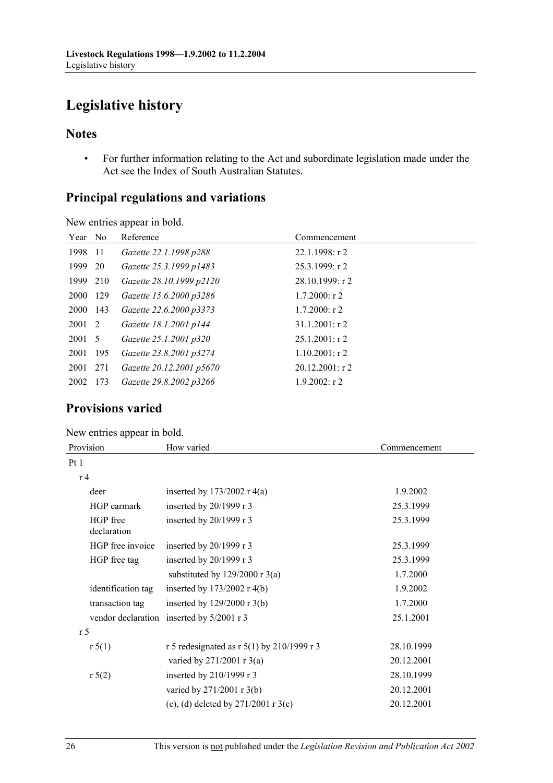# **Legislative history**

New entries appear in bold.

### **Notes**

 • For further information relating to the Act and subordinate legislation made under the Act see the Index of South Australian Statutes.

### **Principal regulations and variations**

| Year No  |      | Reference                | Commencement       |
|----------|------|--------------------------|--------------------|
| 1998     | - 11 | Gazette 22.1.1998 p288   | $22.1.1998:$ r 2   |
| 1999 20  |      | Gazette 25.3.1999 p1483  | $25.3.1999$ : r 2  |
| 1999 210 |      | Gazette 28.10.1999 p2120 | $28.10.1999$ : r 2 |
| 2000 129 |      | Gazette 15.6.2000 p3286  | $1.7.2000$ : r 2   |
| 2000 143 |      | Gazette 22.6.2000 p3373  | $1.7.2000$ : r 2   |
| 2001 2   |      | Gazette 18.1.2001 p144   | $31.1.2001$ : r 2  |
| 2001 5   |      | Gazette 25.1.2001 p320   | $25.1.2001$ : r 2  |
| 2001 195 |      | Gazette 23.8.2001 p3274  | $1.10.2001$ : r 2  |
| 2001     | 271  | Gazette 20.12.2001 p5670 | $20.12.2001$ : r 2 |
| 2002     | 173  | Gazette 29.8.2002 p3266  | $1.9.2002$ : r 2   |
|          |      |                          |                    |

### **Provisions varied**

### New entries appear in bold.

| Provision               | How varied                                   | Commencement |
|-------------------------|----------------------------------------------|--------------|
| Pt1                     |                                              |              |
| r <sub>4</sub>          |                                              |              |
| deer                    | inserted by $173/2002$ r 4(a)                | 1.9.2002     |
| HGP earmark             | inserted by 20/1999 r 3                      | 25.3.1999    |
| HGP free<br>declaration | inserted by 20/1999 r 3                      | 25.3.1999    |
| HGP free invoice        | inserted by $20/1999$ r 3                    | 25.3.1999    |
| HGP free tag            | inserted by $20/1999$ r 3                    | 25.3.1999    |
|                         | substituted by $129/2000$ r 3(a)             | 1.7.2000     |
| identification tag      | inserted by $173/2002$ r 4(b)                | 1.9.2002     |
| transaction tag         | inserted by $129/2000$ r 3(b)                | 1.7.2000     |
|                         | vendor declaration inserted by 5/2001 r 3    | 25.1.2001    |
| r <sub>5</sub>          |                                              |              |
| r 5(1)                  | r 5 redesignated as r $5(1)$ by 210/1999 r 3 | 28.10.1999   |
|                         | varied by $271/2001$ r $3(a)$                | 20.12.2001   |
| r 5(2)                  | inserted by 210/1999 r 3                     | 28.10.1999   |
|                         | varied by 271/2001 r 3(b)                    | 20.12.2001   |
|                         | (c), (d) deleted by $271/2001$ r 3(c)        | 20.12.2001   |